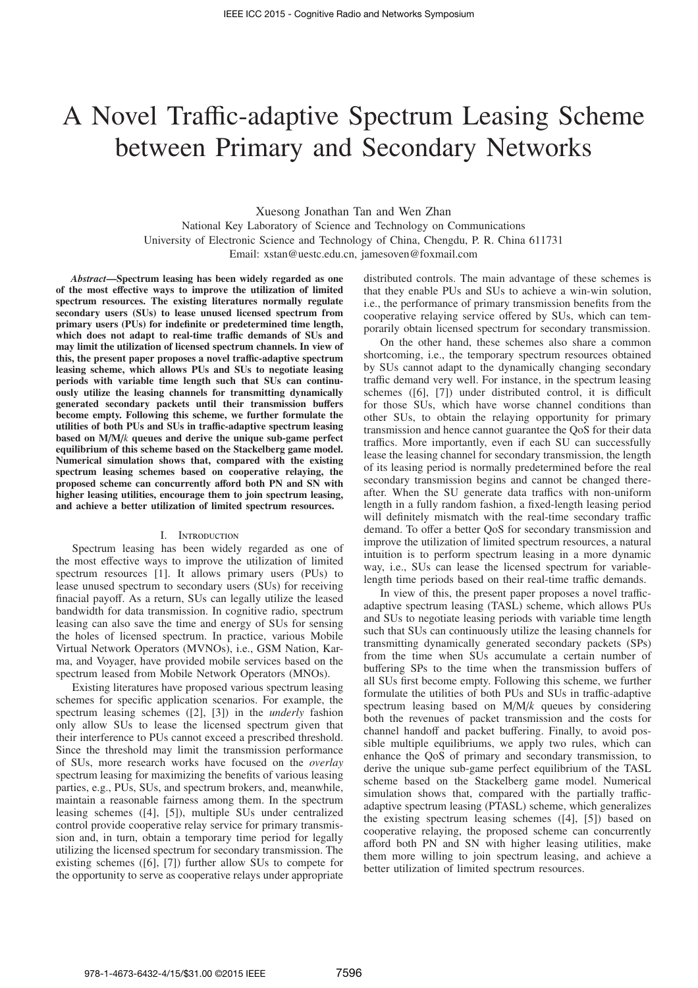# A Novel Traffic-adaptive Spectrum Leasing Scheme between Primary and Secondary Networks

Xuesong Jonathan Tan and Wen Zhan

National Key Laboratory of Science and Technology on Communications University of Electronic Science and Technology of China, Chengdu, P. R. China 611731 Email: xstan@uestc.edu.cn, jamesoven@foxmail.com

*Abstract*—Spectrum leasing has been widely regarded as one of the most effective ways to improve the utilization of limited spectrum resources. The existing literatures normally regulate secondary users (SUs) to lease unused licensed spectrum from primary users (PUs) for indefinite or predetermined time length, which does not adapt to real-time traffic demands of SUs and may limit the utilization of licensed spectrum channels. In view of this, the present paper proposes a novel traffic-adaptive spectrum leasing scheme, which allows PUs and SUs to negotiate leasing periods with variable time length such that SUs can continuously utilize the leasing channels for transmitting dynamically generated secondary packets until their transmission buffers become empty. Following this scheme, we further formulate the utilities of both PUs and SUs in traffic-adaptive spectrum leasing based on M/M/*k* queues and derive the unique sub-game perfect equilibrium of this scheme based on the Stackelberg game model. Numerical simulation shows that, compared with the existing spectrum leasing schemes based on cooperative relaying, the proposed scheme can concurrently afford both PN and SN with higher leasing utilities, encourage them to join spectrum leasing, and achieve a better utilization of limited spectrum resources.

# I. Introduction

Spectrum leasing has been widely regarded as one of the most effective ways to improve the utilization of limited spectrum resources [1]. It allows primary users (PUs) to lease unused spectrum to secondary users (SUs) for receiving finacial payoff. As a return, SUs can legally utilize the leased bandwidth for data transmission. In cognitive radio, spectrum leasing can also save the time and energy of SUs for sensing the holes of licensed spectrum. In practice, various Mobile Virtual Network Operators (MVNOs), i.e., GSM Nation, Karma, and Voyager, have provided mobile services based on the spectrum leased from Mobile Network Operators (MNOs).

Existing literatures have proposed various spectrum leasing schemes for specific application scenarios. For example, the spectrum leasing schemes ([2], [3]) in the *underly* fashion only allow SUs to lease the licensed spectrum given that their interference to PUs cannot exceed a prescribed threshold. Since the threshold may limit the transmission performance of SUs, more research works have focused on the *overlay* spectrum leasing for maximizing the benefits of various leasing parties, e.g., PUs, SUs, and spectrum brokers, and, meanwhile, maintain a reasonable fairness among them. In the spectrum leasing schemes ([4], [5]), multiple SUs under centralized control provide cooperative relay service for primary transmission and, in turn, obtain a temporary time period for legally utilizing the licensed spectrum for secondary transmission. The existing schemes ([6], [7]) further allow SUs to compete for the opportunity to serve as cooperative relays under appropriate distributed controls. The main advantage of these schemes is that they enable PUs and SUs to achieve a win-win solution, i.e., the performance of primary transmission benefits from the cooperative relaying service offered by SUs, which can temporarily obtain licensed spectrum for secondary transmission.

On the other hand, these schemes also share a common shortcoming, i.e., the temporary spectrum resources obtained by SUs cannot adapt to the dynamically changing secondary traffic demand very well. For instance, in the spectrum leasing schemes ([6], [7]) under distributed control, it is difficult for those SUs, which have worse channel conditions than other SUs, to obtain the relaying opportunity for primary transmission and hence cannot guarantee the QoS for their data traffics. More importantly, even if each SU can successfully lease the leasing channel for secondary transmission, the length of its leasing period is normally predetermined before the real secondary transmission begins and cannot be changed thereafter. When the SU generate data traffics with non-uniform length in a fully random fashion, a fixed-length leasing period will definitely mismatch with the real-time secondary traffic demand. To offer a better QoS for secondary transmission and improve the utilization of limited spectrum resources, a natural intuition is to perform spectrum leasing in a more dynamic way, i.e., SUs can lease the licensed spectrum for variablelength time periods based on their real-time traffic demands.

In view of this, the present paper proposes a novel trafficadaptive spectrum leasing (TASL) scheme, which allows PUs and SUs to negotiate leasing periods with variable time length such that SUs can continuously utilize the leasing channels for transmitting dynamically generated secondary packets (SPs) from the time when SUs accumulate a certain number of buffering SPs to the time when the transmission buffers of all SUs first become empty. Following this scheme, we further formulate the utilities of both PUs and SUs in traffic-adaptive spectrum leasing based on M/M/*k* queues by considering both the revenues of packet transmission and the costs for channel handoff and packet buffering. Finally, to avoid possible multiple equilibriums, we apply two rules, which can enhance the QoS of primary and secondary transmission, to derive the unique sub-game perfect equilibrium of the TASL scheme based on the Stackelberg game model. Numerical simulation shows that, compared with the partially trafficadaptive spectrum leasing (PTASL) scheme, which generalizes the existing spectrum leasing schemes ([4], [5]) based on cooperative relaying, the proposed scheme can concurrently afford both PN and SN with higher leasing utilities, make them more willing to join spectrum leasing, and achieve a better utilization of limited spectrum resources.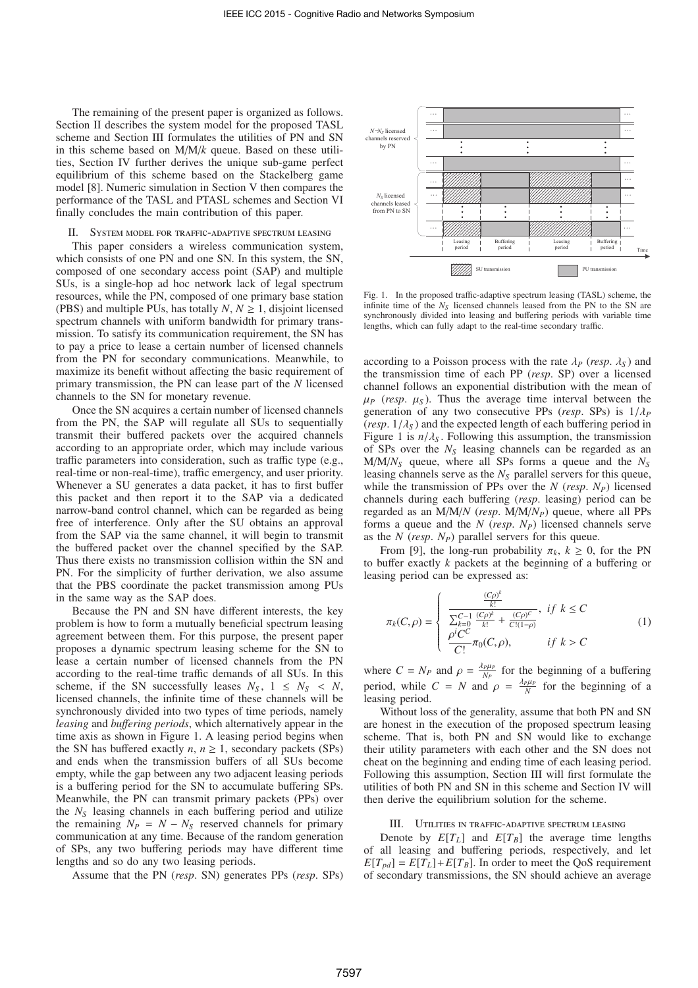The remaining of the present paper is organized as follows. Section II describes the system model for the proposed TASL scheme and Section III formulates the utilities of PN and SN in this scheme based on M/M/*k* queue. Based on these utilities, Section IV further derives the unique sub-game perfect equilibrium of this scheme based on the Stackelberg game model [8]. Numeric simulation in Section V then compares the performance of the TASL and PTASL schemes and Section VI finally concludes the main contribution of this paper.

# SYSTEM MODEL FOR TRAFFIC-ADAPTIVE SPECTRUM LEASING

This paper considers a wireless communication system, which consists of one PN and one SN. In this system, the SN, composed of one secondary access point (SAP) and multiple SUs, is a single-hop ad hoc network lack of legal spectrum resources, while the PN, composed of one primary base station (PBS) and multiple PUs, has totally  $N, N \geq 1$ , disjoint licensed spectrum channels with uniform bandwidth for primary transmission. To satisfy its communication requirement, the SN has to pay a price to lease a certain number of licensed channels from the PN for secondary communications. Meanwhile, to maximize its benefit without affecting the basic requirement of primary transmission, the PN can lease part of the *N* licensed channels to the SN for monetary revenue.

Once the SN acquires a certain number of licensed channels from the PN, the SAP will regulate all SUs to sequentially transmit their buffered packets over the acquired channels according to an appropriate order, which may include various traffic parameters into consideration, such as traffic type (e.g., real-time or non-real-time), traffic emergency, and user priority. Whenever a SU generates a data packet, it has to first buffer this packet and then report it to the SAP via a dedicated narrow-band control channel, which can be regarded as being free of interference. Only after the SU obtains an approval from the SAP via the same channel, it will begin to transmit the buffered packet over the channel specified by the SAP. Thus there exists no transmission collision within the SN and PN. For the simplicity of further derivation, we also assume that the PBS coordinate the packet transmission among PUs in the same way as the SAP does.

Because the PN and SN have different interests, the key problem is how to form a mutually beneficial spectrum leasing agreement between them. For this purpose, the present paper proposes a dynamic spectrum leasing scheme for the SN to lease a certain number of licensed channels from the PN according to the real-time traffic demands of all SUs. In this scheme, if the SN successfully leases  $N_S$ ,  $1 \leq N_S < N$ , licensed channels, the infinite time of these channels will be synchronously divided into two types of time periods, namely *leasing* and *bu*ff*ering periods*, which alternatively appear in the time axis as shown in Figure 1. A leasing period begins when the SN has buffered exactly  $n, n \geq 1$ , secondary packets (SPs) and ends when the transmission buffers of all SUs become empty, while the gap between any two adjacent leasing periods is a buffering period for the SN to accumulate buffering SPs. Meanwhile, the PN can transmit primary packets (PPs) over the *N<sup>S</sup>* leasing channels in each buffering period and utilize the remaining  $N_P = N - N_S$  reserved channels for primary communication at any time. Because of the random generation of SPs, any two buffering periods may have different time lengths and so do any two leasing periods.

Assume that the PN (*resp*. SN) generates PPs (*resp*. SPs)



Fig. 1. In the proposed traffic-adaptive spectrum leasing (TASL) scheme, the infinite time of the *N<sup>S</sup>* licensed channels leased from the PN to the SN are synchronously divided into leasing and buffering periods with variable time lengths, which can fully adapt to the real-time secondary traffic.

according to a Poisson process with the rate  $\lambda_P$  (*resp.*  $\lambda_S$ ) and the transmission time of each PP (*resp*. SP) over a licensed channel follows an exponential distribution with the mean of  $\mu$ <sup>*P*</sup> (*resp.*  $\mu$ <sub>*S*</sub>). Thus the average time interval between the generation of any two consecutive PPs (*resp*. SPs) is 1/λ*<sup>P</sup>* ( $resp. 1/\lambda_s$ ) and the expected length of each buffering period in Figure 1 is  $n/\lambda_s$ . Following this assumption, the transmission of SPs over the *N<sup>S</sup>* leasing channels can be regarded as an M/M/*N<sup>S</sup>* queue, where all SPs forms a queue and the *N<sup>S</sup>* leasing channels serve as the *N<sup>S</sup>* parallel servers for this queue, while the transmission of PPs over the *N* (*resp. N<sub>P</sub>*) licensed channels during each buffering (*resp*. leasing) period can be regarded as an M/M/*N* (*resp*. M/M/*NP*) queue, where all PPs forms a queue and the *N* (*resp*. *NP*) licensed channels serve as the *N* (*resp*. *NP*) parallel servers for this queue.

From [9], the long-run probability  $\pi_k$ ,  $k \geq 0$ , for the PN to buffer exactly *k* packets at the beginning of a buffering or leasing period can be expressed as:

$$
\pi_{k}(C,\rho) = \begin{cases}\n\frac{\frac{(C\rho)^{k}}{k!}}{\sum_{k=0}^{C-1} \frac{(C\rho)^{k}}{k!} + \frac{(C\rho)^{C}}{C!(1-\rho)}}, & if \ k \leq C \\
\frac{\rho^{i}C^{C}}{C!}\pi_{0}(C,\rho), & if \ k > C\n\end{cases}
$$
\n(1)

where  $C = N_P$  and  $\rho = \frac{\lambda_P \mu_P}{N_P}$  $\frac{P\mu_P}{N_P}$  for the beginning of a buffering period, while  $C = N$  and  $\rho = \frac{\lambda_P \mu_P}{N}$  for the beginning of a leasing period.

Without loss of the generality, assume that both PN and SN are honest in the execution of the proposed spectrum leasing scheme. That is, both PN and SN would like to exchange their utility parameters with each other and the SN does not cheat on the beginning and ending time of each leasing period. Following this assumption, Section III will first formulate the utilities of both PN and SN in this scheme and Section IV will then derive the equilibrium solution for the scheme.

#### III. Utilities in traffic-adaptive spectrum leasing

Denote by  $E[T_L]$  and  $E[T_B]$  the average time lengths of all leasing and buffering periods, respectively, and let  $E[T_{pd}] = E[T_L] + E[T_B]$ . In order to meet the QoS requirement of secondary transmissions, the SN should achieve an average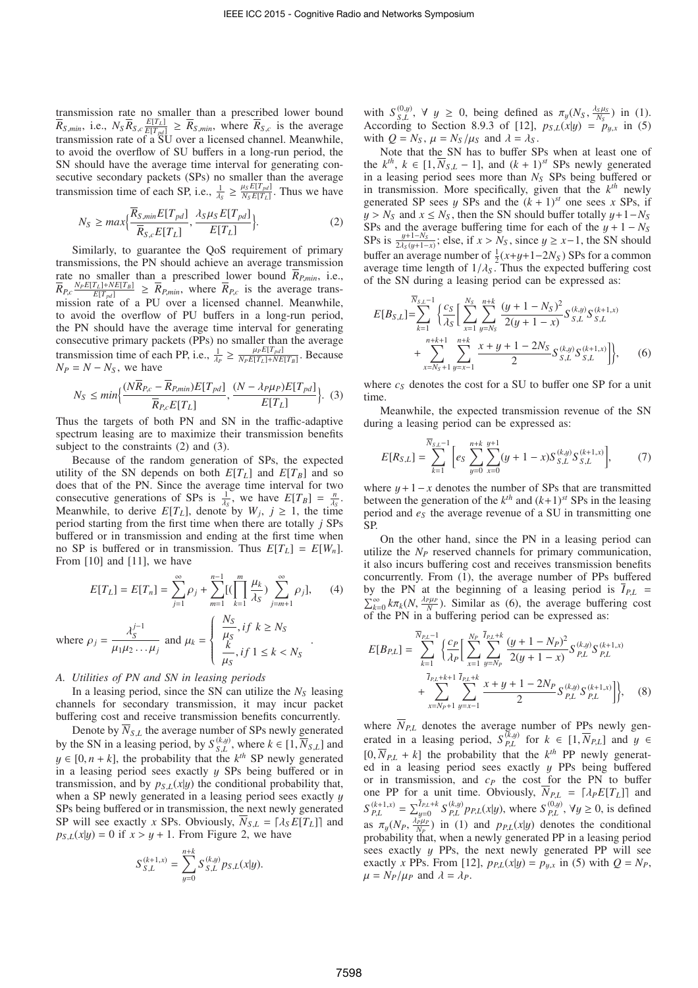transmission rate no smaller than a prescribed lower bound  $\overline{R}_{S,min}$ , i.e.,  $N_S \overline{R}_{S,c} \frac{E[T_L]}{E[T_{pd}]} \ge \overline{R}_{S,min}$ , where  $\overline{R}_{S,c}$  is the average transmission rate of a SU over a licensed channel. Meanwhile, to avoid the overflow of SU buffers in a long-run period, the SN should have the average time interval for generating consecutive secondary packets (SPs) no smaller than the average transmission time of each SP, i.e.,  $\frac{1}{\lambda_S} \geq \frac{\mu_S E[T_{pd}]}{N_S E[T_L]}$  $\frac{u_S E[T_L]}{N_S E[T_L]}$ . Thus we have

$$
N_S \ge \max\{\frac{\overline{R}_{S,\min}E[T_{pd}]}{\overline{R}_{S,c}E[T_L]}, \frac{\lambda_S\mu_S E[T_{pd}]}{E[T_L]}\}.
$$
 (2)

Similarly, to guarantee the QoS requirement of primary transmissions, the PN should achieve an average transmission rate no smaller than a prescribed lower bound  $\bar{R}_{P,min}$ , i.e.,  $\overline{R}_{P,c} \frac{N_P E[T_L] + N E[T_B]}{E[T_{pd}]} \ge \overline{R}_{P,min}$ , where  $\overline{R}_{P,c}$  is the average transmission rate of a PU over a licensed channel. Meanwhile, to avoid the overflow of PU buffers in a long-run period, the PN should have the average time interval for generating consecutive primary packets (PPs) no smaller than the average transmission time of each PP, i.e.,  $\frac{1}{\lambda_P} \geq \frac{\mu_P E[T_{pd}]}{N_P E[T_L] + NE}$  $\frac{\mu_{P}E[T_L]\mu_{P}}{N_P E[T_L]+N E[T_B]}$ . Because  $N_P = N - N_S$ , we have

$$
N_S \le \min\left\{\frac{(N\overline{R}_{P,c} - \overline{R}_{P,\text{min}})E[T_{pd}]}{\overline{R}_{P,c}E[T_L]}, \frac{(N - \lambda_P\mu_P)E[T_{pd}]}{E[T_L]}\right\}.
$$
 (3)

Thus the targets of both PN and SN in the traffic-adaptive spectrum leasing are to maximize their transmission benefits subject to the constraints (2) and (3).

Because of the random generation of SPs, the expected utility of the SN depends on both  $E[T_L]$  and  $E[T_B]$  and so does that of the PN. Since the average time interval for two consecutive generations of SPs is  $\frac{1}{\lambda_S}$ , we have  $E[T_B] = \frac{n}{\lambda_S}$ . Meanwhile, to derive  $E[T_L]$ , denote by  $W_j$ ,  $j \ge 1$ , the time period starting from the first time when there are totally *j* SPs buffered or in transmission and ending at the first time when no SP is buffered or in transmission. Thus  $E[T_L] = E[W_n]$ . From [10] and [11], we have

$$
E[T_L] = E[T_n] = \sum_{j=1}^{\infty} \rho_j + \sum_{m=1}^{n-1} [(\prod_{k=1}^{m} \frac{\mu_k}{\lambda_s}) \sum_{j=m+1}^{\infty} \rho_j], \qquad (4)
$$

where 
$$
\rho_j = \frac{\lambda_S^{j-1}}{\mu_1 \mu_2 \dots \mu_j}
$$
 and  $\mu_k = \begin{cases} \frac{N_S}{\mu_S}, & \text{if } k \ge N_S \\ \frac{k}{\mu_S}, & \text{if } 1 \le k < N_S \end{cases}$ .

#### *A. Utilities of PN and SN in leasing periods*

In a leasing period, since the SN can utilize the  $N<sub>S</sub>$  leasing channels for secondary transmission, it may incur packet buffering cost and receive transmission benefits concurrently.

Denote by  $\overline{N}_{S,L}$  the average number of SPs newly generated by the SN in a leasing period, by  $S_{S,L}^{(k,y)}$ , where  $k \in [1, \overline{N}_{S,L}]$  and  $y \in [0, n+k]$ , the probability that the  $k^{th}$  SP newly generated in a leasing period sees exactly  $y$  SPs being buffered or in transmission, and by  $p_{S,L}(x|y)$  the conditional probability that, when a SP newly generated in a leasing period sees exactly  $\psi$ SPs being buffered or in transmission, the next newly generated SP will see exactly *x* SPs. Obviously,  $\overline{N}_{S,L} = [\lambda_S E[T_L]]$  and  $p_{S,L}(x|y) = 0$  if  $x > y + 1$ . From Figure 2, we have

$$
S_{S,L}^{(k+1,x)} = \sum_{y=0}^{n+k} S_{S,L}^{(k,y)} p_{S,L}(x|y).
$$

with  $S_{S,L}^{(0,y)}$ ,  $\forall$   $y \ge 0$ , being defined as  $\pi_y(N_S, \frac{\lambda_S \mu_S}{N_S})$  $\frac{s\mu_s}{N_s}$ ) in (1). According to Section 8.9.3 of [12],  $p_{S,L}(x|y) = p_{y,x}$  in (5) with  $Q = N_S$ ,  $\mu = N_S / \mu_S$  and  $\lambda = \lambda_S$ .

Note that the SN has to buffer SPs when at least one of the  $k^{th}$ ,  $k \in [1, \overline{N}_{S,L} - 1]$ , and  $(k + 1)^{st}$  SPs newly generated in a leasing period sees more than *N<sup>S</sup>* SPs being buffered or in transmission. More specifically, given that the  $k^{th}$  newly generated SP sees y SPs and the  $(k + 1)^{st}$  one sees x SPs, if  $y > N_S$  and  $x \leq N_S$ , then the SN should buffer totally  $y + 1 - N_S$ SPs and the average buffering time for each of the  $y + 1 - N<sub>S</sub>$ SPs is  $\frac{y+1-N_S}{2\lambda_S(y+1-x)}$ ; else, if  $x > N_S$ , since  $y \ge x-1$ , the SN should buffer an average number of  $\frac{1}{2}(x+y+1-2N_s)$  SPs for a common average time length of  $1/\lambda_s$ . Thus the expected buffering cost of the SN during a leasing period can be expressed as:

$$
E[B_{S,L}] = \sum_{k=1}^{\overline{N}_{S,L}-1} \left\{ \frac{c_S}{\lambda_S} \left[ \sum_{x=1}^{N_S} \sum_{y=N_S}^{n+k} \frac{(y+1-N_S)^2}{2(y+1-x)} S_{S,L}^{(k,y)} S_{S,L}^{(k+1,x)} + \sum_{x=N_S+1}^{n+k+1} \sum_{y=x-1}^{n+k} \frac{x+y+1-2N_S}{2} S_{S,L}^{(k,y)} S_{S,L}^{(k+1,x)} \right] \right\},
$$
 (6)

where  $c<sub>S</sub>$  denotes the cost for a SU to buffer one SP for a unit time.

Meanwhile, the expected transmission revenue of the SN during a leasing period can be expressed as:

$$
E[R_{S,L}] = \sum_{k=1}^{\overline{N}_{S,L}-1} \left[ e_S \sum_{y=0}^{n+k} \sum_{x=0}^{y+1} (y+1-x) S_{S,L}^{(k,y)} S_{S,L}^{(k+1,x)} \right],
$$
 (7)

where  $y+1-x$  denotes the number of SPs that are transmitted between the generation of the  $k^{th}$  and  $(k+1)^{st}$  SPs in the leasing period and *e<sup>S</sup>* the average revenue of a SU in transmitting one SP.

On the other hand, since the PN in a leasing period can utilize the *N<sup>P</sup>* reserved channels for primary communication, it also incurs buffering cost and receives transmission benefits concurrently. From (1), the average number of PPs buffered by the PN at the beginning of a leasing period is  $\overline{I}_{P,L}$  =  $\sum_{k=0}^{\infty} k \pi_k(N, \frac{\lambda_P \mu_P}{N})$ . Similar as (6), the average buffering cost of the PN in a buffering period can be expressed as:

$$
E[B_{P,L}] = \sum_{k=1}^{\overline{N}_{P,L}-1} \left\{ \frac{c_P}{\lambda_P} \left[ \sum_{x=1}^{N_P} \sum_{y=N_P}^{\overline{I}_{P,L}+k} \frac{(y+1-N_P)^2}{2(y+1-x)} S_{P,L}^{(k,y)} S_{P,L}^{(k+1,x)} \right. \right. \\ \left. + \sum_{x=N_P+1}^{\overline{I}_{P,L}+k+1} \sum_{y=x-1}^{\overline{I}_{P,L}+k} \frac{x+y+1-2N_P}{2} S_{P,L}^{(k,y)} S_{P,L}^{(k+1,x)} \right] \right\}, \quad (8)
$$

where  $N_{PL}$  denotes the average number of PPs newly generated in a leasing period,  $S_{PL}^{(k,y)}$  for  $k \in [1, \overline{N}_{PL}]$  and  $y \in$  $[0, \overline{N}_{P,L} + k]$  the probability that the  $k^{th}$  PP newly generated in a leasing period sees exactly  $y$  PPs being buffered or in transmission, and  $c<sub>P</sub>$  the cost for the PN to buffer one PP for a unit time. Obviously,  $\overline{N}_{P,L} = [\lambda_P E[T_L]]$  and  $S_{P,L}^{(k+1,x)} = \sum_{y=0}^{I_{P,L}+k} S_{P,L}^{(k,y)} p_{P,L}(x|y)$ , where  $S_{P,L}^{(0,y)}$ ,  $\forall y \ge 0$ , is defined as  $\pi_y(N_P, \frac{\lambda_P^y \mu_P}{N_P})$  $\frac{p\mu_p}{N_P}$  in (1) and  $p_{P,L}(x|y)$  denotes the conditional probability that, when a newly generated PP in a leasing period sees exactly  $y$  PPs, the next newly generated PP will see exactly *x* PPs. From [12],  $p_{P,L}(x|y) = p_{y,x}$  in (5) with  $Q = N_P$ ,  $\mu = N_P/\mu_P$  and  $\lambda = \lambda_P$ .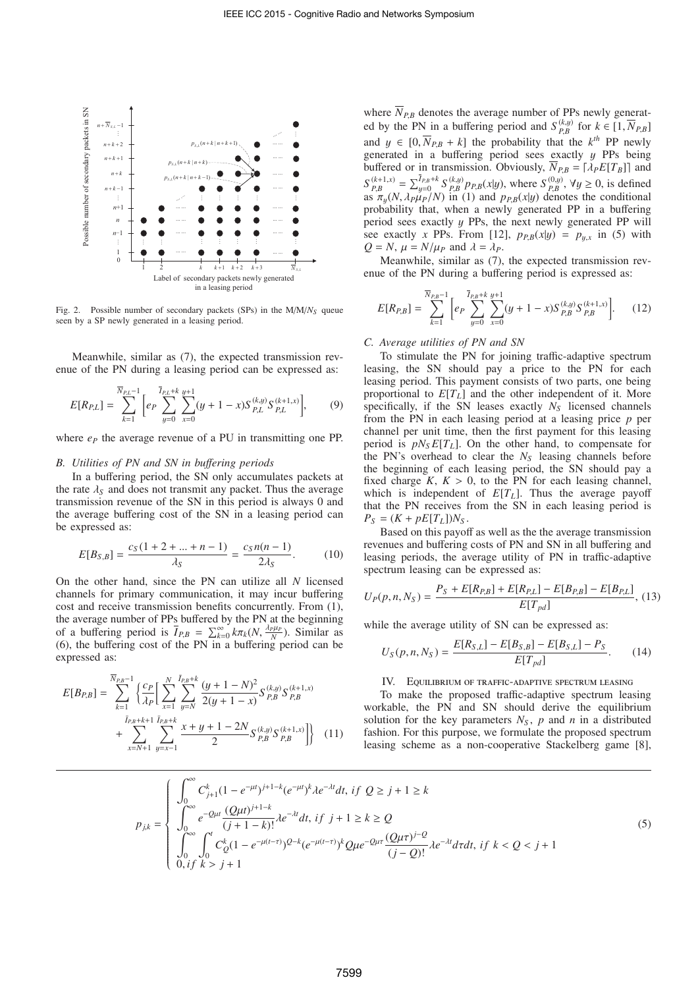

Fig. 2. Possible number of secondary packets (SPs) in the  $M/M/N<sub>S</sub>$  queue seen by a SP newly generated in a leasing period.

Meanwhile, similar as (7), the expected transmission revenue of the PN during a leasing period can be expressed as:

$$
E[R_{P,L}] = \sum_{k=1}^{\overline{N}_{P,L}-1} \left[ e_P \sum_{y=0}^{\overline{I}_{P,L}+k} \sum_{x=0}^{y+1} (y+1-x) S_{P,L}^{(k,y)} S_{P,L}^{(k+1,x)} \right],
$$
(9)

where  $e_p$  the average revenue of a PU in transmitting one PP.

## *B. Utilities of PN and SN in bu*ff*ering periods*

In a buffering period, the SN only accumulates packets at the rate  $\lambda_s$  and does not transmit any packet. Thus the average transmission revenue of the SN in this period is always 0 and the average buffering cost of the SN in a leasing period can be expressed as:

$$
E[B_{S,B}] = \frac{c_S(1+2+\dots+n-1)}{\lambda_S} = \frac{c_S n(n-1)}{2\lambda_S}.
$$
 (10)

On the other hand, since the PN can utilize all *N* licensed channels for primary communication, it may incur buffering cost and receive transmission benefits concurrently. From (1), the average number of PPs buffered by the PN at the beginning of a buffering period is  $\overline{I}_{P,B} = \sum_{k=0}^{\infty} k \pi_k(N, \frac{\lambda_P \mu_P}{N})$ . Similar as (6), the buffering cost of the PN in a buffering period can be expressed as:

$$
E[B_{P,B}] = \sum_{k=1}^{\overline{N}_{P,B}-1} \left\{ \frac{c_P}{\lambda_P} \left[ \sum_{x=1}^N \sum_{y=N}^{\overline{I}_{P,B}+k} \frac{(y+1-N)^2}{2(y+1-x)} S_{P,B}^{(k,y)} S_{P,B}^{(k+1,x)} \right. \right. \\ \left. + \sum_{x=N+1}^{\overline{I}_{P,B}+k+1} \sum_{y=x-1}^{\overline{I}_{P,B}+k} \frac{x+y+1-2N}{2} S_{P,B}^{(k,y)} S_{P,B}^{(k+1,x)} \right] \right\} \tag{11}
$$

where  $\overline{N}_{P,B}$  denotes the average number of PPs newly generated by the PN in a buffering period and  $S_{P,B}^{(k,y)}$  for  $k \in [1, \overline{N}_{P,B}]$ and  $y \in [0, \overline{N}_{P,B} + k]$  the probability that the  $k^{th}$  PP newly generated in a buffering period sees exactly  $y$  PPs being buffered or in transmission. Obviously,  $\overline{N}_{P,B} = [\lambda_P E[T_B]]$  and  $S_{P,B}^{(k+1,x)} = \sum_{y=0}^{\bar{I}_{P,B}+k} S_{P,B}^{(k,y)} p_{P,B}(x|y)$ , where  $S_{P,B}^{(0,y)}$ ,  $\forall y \ge 0$ , is defined as  $\pi_y(N, \lambda_P \mu_P/N)$  in (1) and  $p_{P,B}(x|y)$  denotes the conditional probability that, when a newly generated PP in a buffering period sees exactly y PPs, the next newly generated PP will see exactly *x* PPs. From [12],  $p_{P,B}(x|y) = p_{y,x}$  in (5) with  $Q = N$ ,  $\mu = N/\mu_P$  and  $\lambda = \lambda_P$ .

Meanwhile, similar as (7), the expected transmission revenue of the PN during a buffering period is expressed as:

$$
E[R_{P,B}] = \sum_{k=1}^{\overline{N}_{P,B}-1} \left[ e_P \sum_{y=0}^{\overline{I}_{P,B}+k} \sum_{x=0}^{y+1} (y+1-x) S_{P,B}^{(k,y)} S_{P,B}^{(k+1,x)} \right].
$$
 (12)

# *C. Average utilities of PN and SN*

To stimulate the PN for joining traffic-adaptive spectrum leasing, the SN should pay a price to the PN for each leasing period. This payment consists of two parts, one being proportional to  $E[T_L]$  and the other independent of it. More specifically, if the SN leases exactly  $N<sub>S</sub>$  licensed channels from the PN in each leasing period at a leasing price *p* per channel per unit time, then the first payment for this leasing period is  $pN<sub>S</sub>E[T<sub>L</sub>]$ . On the other hand, to compensate for the PN's overhead to clear the *N<sup>S</sup>* leasing channels before the beginning of each leasing period, the SN should pay a fixed charge  $K, K > 0$ , to the PN for each leasing channel, which is independent of *E*[*TL*]. Thus the average payoff that the PN receives from the SN in each leasing period is  $P_S = (K + pE[T_L])N_S$ .

Based on this payoff as well as the the average transmission revenues and buffering costs of PN and SN in all buffering and leasing periods, the average utility of PN in traffic-adaptive spectrum leasing can be expressed as:

$$
U_P(p, n, N_S) = \frac{P_S + E[R_{P,B}] + E[R_{P,L}] - E[B_{P,B}] - E[B_{P,L}]}{E[T_{pd}]},
$$
(13)

while the average utility of SN can be expressed as:

$$
U_S(p, n, N_S) = \frac{E[R_{S,L}] - E[B_{S,B}] - E[B_{S,L}] - P_S}{E[T_{pd}]}.
$$
 (14)

IV. Equilibrium of traffic-adaptive spectrum leasing

To make the proposed traffic-adaptive spectrum leasing workable, the PN and SN should derive the equilibrium solution for the key parameters  $N<sub>S</sub>$ ,  $p$  and  $n$  in a distributed fashion. For this purpose, we formulate the proposed spectrum leasing scheme as a non-cooperative Stackelberg game [8],

$$
p_{jk} = \begin{cases} \int_0^{\infty} C_{j+1}^k (1 - e^{-\mu t})^{j+1-k} (e^{-\mu t})^k \lambda e^{-\lambda t} dt, & \text{if } Q \ge j+1 \ge k\\ \int_0^{\infty} e^{-Q\mu t} \frac{(Q\mu t)^{j+1-k}}{(j+1-k)!} \lambda e^{-\lambda t} dt, & \text{if } j+1 \ge k \ge Q\\ \int_0^{\infty} \int_0^t C_0^k (1 - e^{-\mu(t-\tau)})^{Q-k} (e^{-\mu(t-\tau)})^k Q\mu e^{-Q\mu \tau} \frac{(Q\mu \tau)^{j-Q}}{(j-Q)!} \lambda e^{-\lambda t} d\tau dt, & \text{if } k < Q < j+1\\ 0, & \text{if } k > j+1 \end{cases} \tag{5}
$$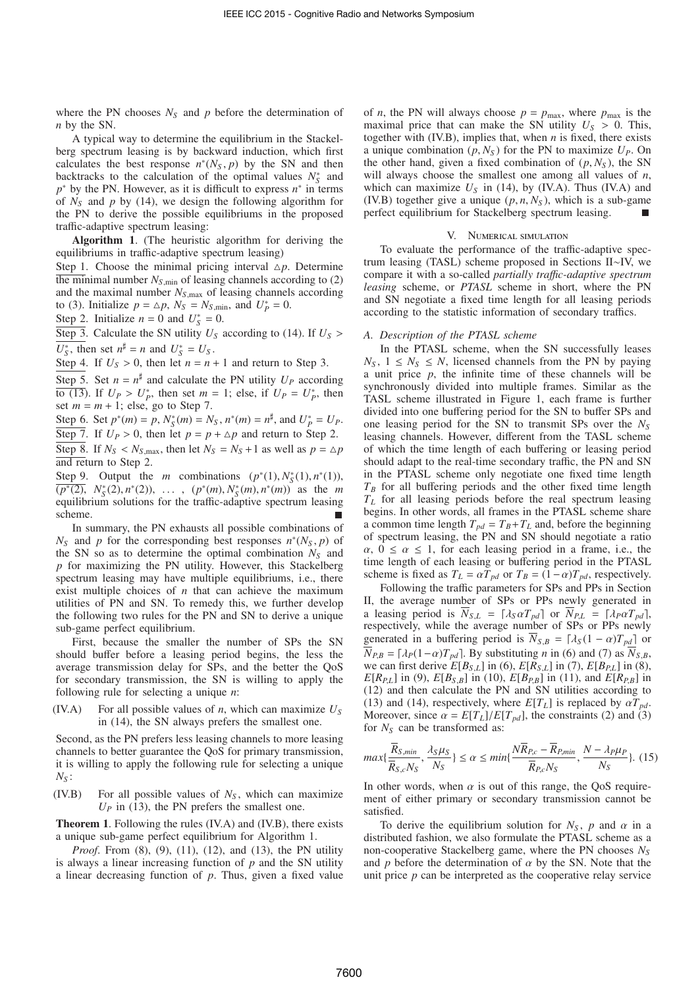where the PN chooses  $N<sub>S</sub>$  and  $p$  before the determination of *n* by the SN.

A typical way to determine the equilibrium in the Stackelberg spectrum leasing is by backward induction, which first calculates the best response  $n^*(N_S, p)$  by the SN and then backtracks to the calculation of the optimal values  $N_s^*$  and  $p^*$  by the PN. However, as it is difficult to express  $n^*$  in terms of  $N<sub>S</sub>$  and  $p$  by (14), we design the following algorithm for the PN to derive the possible equilibriums in the proposed traffic-adaptive spectrum leasing:

Algorithm 1. (The heuristic algorithm for deriving the equilibriums in traffic-adaptive spectrum leasing)

Step 1. Choose the minimal pricing interval  $\Delta p$ . Determine the minimal number  $N_{S,min}$  of leasing channels according to (2) and the maximal number  $N_{S,\text{max}}$  of leasing channels according to (3). Initialize  $p = \Delta p$ ,  $N_s = N_{s,min}$ , and  $U_p^* = 0$ .

Step 2. Initialize  $n = 0$  and  $U_s^* = 0$ .

Step 3. Calculate the SN utility  $U_S$  according to (14). If  $U_S$  >  $U_S^*$ , then set  $n^{\sharp} = n$  and  $U_S^* = U_S$ .

Step 4. If  $U_s > 0$ , then let  $n = n + 1$  and return to Step 3.

Step 5. Set  $n = n^{\sharp}$  and calculate the PN utility  $U_P$  according  $\overline{to (13)}$ . If  $U_P > U_P^*$ , then set  $m = 1$ ; else, if  $U_P = U_P^*$ , then set  $m = m + 1$ ; else, go to Step 7.

Step 6. Set  $p^*(m) = p$ ,  $N_S^*(m) = N_S$ ,  $n^*(m) = n^{\sharp}$ , and  $U_P^* = U_P$ . Step 7. If  $U_P > 0$ , then let  $p = p + \Delta p$  and return to Step 2. Step 8. If  $N_S < N_{S, \text{max}}$ , then let  $N_S = N_S + 1$  as well as  $p = \Delta p$ and return to Step 2.

Step 9. Output the *m* combinations  $(p^*(1), N^*_S(1), n^*(1)),$  $(p^*(2), N_S^*(2), n^*(2)), \ldots, (p^*(m), N_S^*(m), n^*(m))$  as the *m* equilibrium solutions for the traffic-adaptive spectrum leasing scheme.

In summary, the PN exhausts all possible combinations of  $N_S$  and *p* for the corresponding best responses  $n^*(N_S, p)$  of the SN so as to determine the optimal combination  $N<sub>S</sub>$  and *p* for maximizing the PN utility. However, this Stackelberg spectrum leasing may have multiple equilibriums, i.e., there exist multiple choices of *n* that can achieve the maximum utilities of PN and SN. To remedy this, we further develop the following two rules for the PN and SN to derive a unique sub-game perfect equilibrium.

First, because the smaller the number of SPs the SN should buffer before a leasing period begins, the less the average transmission delay for SPs, and the better the QoS for secondary transmission, the SN is willing to apply the following rule for selecting a unique *n*:

(IV.A) For all possible values of *n*, which can maximize *U<sup>S</sup>* in (14), the SN always prefers the smallest one.

Second, as the PN prefers less leasing channels to more leasing channels to better guarantee the QoS for primary transmission, it is willing to apply the following rule for selecting a unique *N<sup>S</sup>* :

(IV.B) For all possible values of *N<sup>S</sup>* , which can maximize  $U_P$  in (13), the PN prefers the smallest one.

Theorem 1. Following the rules (IV.A) and (IV.B), there exists a unique sub-game perfect equilibrium for Algorithm 1.

*Proof*. From (8), (9), (11), (12), and (13), the PN utility is always a linear increasing function of *p* and the SN utility a linear decreasing function of *p*. Thus, given a fixed value of *n*, the PN will always choose  $p = p_{\text{max}}$ , where  $p_{\text{max}}$  is the maximal price that can make the SN utility  $U_s > 0$ . This, together with (IV.B), implies that, when *n* is fixed, there exists a unique combination  $(p, N_S)$  for the PN to maximize  $U_P$ . On the other hand, given a fixed combination of  $(p, N<sub>S</sub>)$ , the SN will always choose the smallest one among all values of *n*, which can maximize  $U<sub>S</sub>$  in (14), by (IV.A). Thus (IV.A) and (IV.B) together give a unique  $(p, n, N<sub>S</sub>)$ , which is a sub-game perfect equilibrium for Stackelberg spectrum leasing.

### V. Numerical simulation

To evaluate the performance of the traffic-adaptive spectrum leasing (TASL) scheme proposed in Sections II∼IV, we compare it with a so-called *partially tra*ffi*c-adaptive spectrum leasing* scheme, or *PTASL* scheme in short, where the PN and SN negotiate a fixed time length for all leasing periods according to the statistic information of secondary traffics.

## *A. Description of the PTASL scheme*

In the PTASL scheme, when the SN successfully leases  $N_S$ ,  $1 \leq N_S \leq N$ , licensed channels from the PN by paying a unit price *p*, the infinite time of these channels will be synchronously divided into multiple frames. Similar as the TASL scheme illustrated in Figure 1, each frame is further divided into one buffering period for the SN to buffer SPs and one leasing period for the SN to transmit SPs over the *N<sup>S</sup>* leasing channels. However, different from the TASL scheme of which the time length of each buffering or leasing period should adapt to the real-time secondary traffic, the PN and SN in the PTASL scheme only negotiate one fixed time length  $T_B$  for all buffering periods and the other fixed time length *T<sup>L</sup>* for all leasing periods before the real spectrum leasing begins. In other words, all frames in the PTASL scheme share a common time length  $T_{pd} = T_B + T_L$  and, before the beginning of spectrum leasing, the PN and SN should negotiate a ratio  $\alpha$ ,  $0 \le \alpha \le 1$ , for each leasing period in a frame, i.e., the time length of each leasing or buffering period in the PTASL scheme is fixed as  $T_L = \alpha T_{pd}$  or  $T_B = (1 - \alpha)T_{pd}$ , respectively.

Following the traffic parameters for SPs and PPs in Section II, the average number of SPs or PPs newly generated in a leasing period is  $\overline{N}_{S,L} = [\lambda_S \alpha T_{pd}]$  or  $\overline{N}_{P,L} = [\lambda_P \alpha T_{pd}]$ , respectively, while the average number of SPs or PPs newly generated in a buffering period is  $\overline{N}_{S,B} = \lceil \lambda_S(1 - \alpha)T_{pd} \rceil$  or  $\overline{N}_{PB} = [\lambda_P(1-\alpha)T_{pd}]$ . By substituting *n* in (6) and (7) as  $\overline{N}_{S,B}$ , we can first derive  $E[B_{S,L}]$  in (6),  $E[R_{S,L}]$  in (7),  $E[B_{P,L}]$  in (8), *E*[ $R_{P,L}$ ] in (9), *E*[ $B_{S,B}$ ] in (10), *E*[ $B_{P,B}$ ] in (11), and *E*[ $R_{P,B}$ ] in (12) and then calculate the PN and SN utilities according to (13) and (14), respectively, where  $E[T_L]$  is replaced by  $\alpha T_{pd}$ . Moreover, since  $\alpha = E[T_L]/E[T_{pd}]$ , the constraints (2) and (3) for *N<sup>S</sup>* can be transformed as:

$$
max\{\frac{\overline{R}_{S,min}}{\overline{R}_{S,c}N_S}, \frac{\lambda_S\mu_S}{N_S}\} \le \alpha \le \min\{\frac{N\overline{R}_{P,c} - \overline{R}_{P,min}}{\overline{R}_{P,c}N_S}, \frac{N - \lambda_P\mu_P}{N_S}\}. \tag{15}
$$

In other words, when  $\alpha$  is out of this range, the QoS requirement of either primary or secondary transmission cannot be satisfied.

To derive the equilibrium solution for  $N<sub>S</sub>$ ,  $p$  and  $\alpha$  in a distributed fashion, we also formulate the PTASL scheme as a non-cooperative Stackelberg game, where the PN chooses *N<sup>S</sup>* and  $p$  before the determination of  $\alpha$  by the SN. Note that the unit price *p* can be interpreted as the cooperative relay service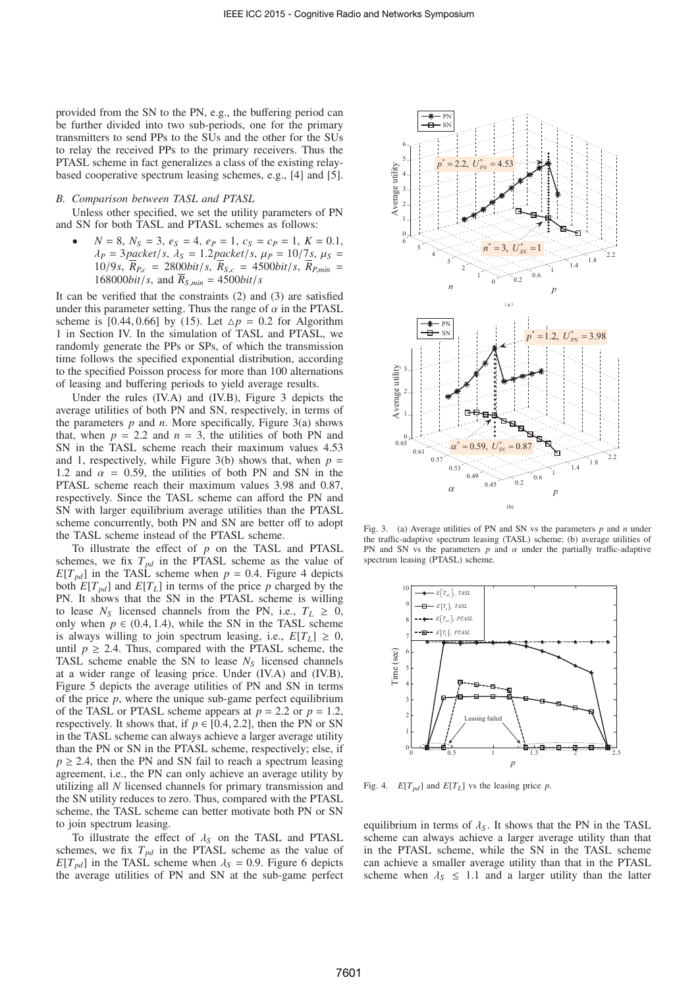provided from the SN to the PN, e.g., the buffering period can be further divided into two sub-periods, one for the primary transmitters to send PPs to the SUs and the other for the SUs to relay the received PPs to the primary receivers. Thus the PTASL scheme in fact generalizes a class of the existing relaybased cooperative spectrum leasing schemes, e.g., [4] and [5].

#### *B. Comparison between TASL and PTASL*

Unless other specified, we set the utility parameters of PN and SN for both TASL and PTASL schemes as follows:

 $N = 8, N_S = 3, e_S = 4, e_P = 1, c_S = c_P = 1, K = 0.1,$  $\lambda_P = 3$ *packet*/*s*,  $\lambda_S = 1.2$ *packet*/*s*,  $\mu_P = 10/7$ *s*,  $\mu_S =$  $10/9s$ ,  $\bar{R}_{P,c} = 2800bit/s$ ,  $\bar{R}_{S,c} = 4500bit/s$ ,  $\bar{R}_{P,min} =$  $168000bit/s$ , and  $\overline{R}_{S,min} = 4500bit/s$ 

It can be verified that the constraints (2) and (3) are satisfied under this parameter setting. Thus the range of  $\alpha$  in the PTASL scheme is [0.44, 0.66] by (15). Let  $\Delta p = 0.2$  for Algorithm 1 in Section IV. In the simulation of TASL and PTASL, we randomly generate the PPs or SPs, of which the transmission time follows the specified exponential distribution, according to the specified Poisson process for more than 100 alternations of leasing and buffering periods to yield average results.

Under the rules (IV.A) and (IV.B), Figure 3 depicts the average utilities of both PN and SN, respectively, in terms of the parameters  $p$  and  $n$ . More specifically, Figure 3(a) shows that, when  $p = 2.2$  and  $n = 3$ , the utilities of both PN and SN in the TASL scheme reach their maximum values 4.53 and 1, respectively, while Figure 3(b) shows that, when  $p =$ 1.2 and  $\alpha$  = 0.59, the utilities of both PN and SN in the PTASL scheme reach their maximum values 3.98 and 0.87, respectively. Since the TASL scheme can afford the PN and SN with larger equilibrium average utilities than the PTASL scheme concurrently, both PN and SN are better off to adopt the TASL scheme instead of the PTASL scheme.

To illustrate the effect of *p* on the TASL and PTASL schemes, we fix  $T_{pd}$  in the PTASL scheme as the value of  $E[T_{pd}]$  in the TASL scheme when  $p = 0.4$ . Figure 4 depicts both  $E[T_{pd}]$  and  $E[T_L]$  in terms of the price p charged by the PN. It shows that the SN in the PTASL scheme is willing to lease  $N<sub>S</sub>$  licensed channels from the PN, i.e.,  $T<sub>L</sub> \ge 0$ , only when  $p \in (0.4, 1.4)$ , while the SN in the TASL scheme is always willing to join spectrum leasing, i.e.,  $E[T_L] \geq 0$ , until  $p \ge 2.4$ . Thus, compared with the PTASL scheme, the TASL scheme enable the SN to lease  $N<sub>S</sub>$  licensed channels at a wider range of leasing price. Under (IV.A) and (IV.B), Figure 5 depicts the average utilities of PN and SN in terms of the price *p*, where the unique sub-game perfect equilibrium of the TASL or PTASL scheme appears at  $p = 2.2$  or  $p = 1.2$ , respectively. It shows that, if  $p \in [0.4, 2.2]$ , then the PN or SN in the TASL scheme can always achieve a larger average utility than the PN or SN in the PTASL scheme, respectively; else, if  $p \ge 2.4$ , then the PN and SN fail to reach a spectrum leasing agreement, i.e., the PN can only achieve an average utility by utilizing all *N* licensed channels for primary transmission and the SN utility reduces to zero. Thus, compared with the PTASL scheme, the TASL scheme can better motivate both PN or SN to join spectrum leasing.

To illustrate the effect of λ*<sup>S</sup>* on the TASL and PTASL schemes, we fix  $T_{pd}$  in the PTASL scheme as the value of  $E[T_{pd}]$  in the TASL scheme when  $\lambda_S = 0.9$ . Figure 6 depicts the average utilities of PN and SN at the sub-game perfect



Fig. 3. (a) Average utilities of PN and SN vs the parameters *p* and *n* under the traffic-adaptive spectrum leasing (TASL) scheme; (b) average utilities of PN and SN vs the parameters  $p$  and  $\alpha$  under the partially traffic-adaptive spectrum leasing (PTASL) scheme.



Fig. 4.  $E[T_{pd}]$  and  $E[T_L]$  vs the leasing price *p*.

equilibrium in terms of  $\lambda_S$ . It shows that the PN in the TASL scheme can always achieve a larger average utility than that in the PTASL scheme, while the SN in the TASL scheme can achieve a smaller average utility than that in the PTASL scheme when  $\lambda_s \leq 1.1$  and a larger utility than the latter